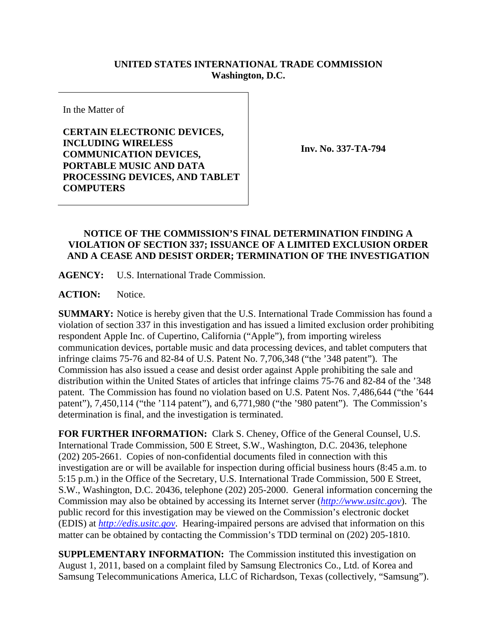## **UNITED STATES INTERNATIONAL TRADE COMMISSION Washington, D.C.**

In the Matter of

**CERTAIN ELECTRONIC DEVICES, INCLUDING WIRELESS COMMUNICATION DEVICES, PORTABLE MUSIC AND DATA PROCESSING DEVICES, AND TABLET COMPUTERS** 

**Inv. No. 337-TA-794**

## **NOTICE OF THE COMMISSION'S FINAL DETERMINATION FINDING A VIOLATION OF SECTION 337; ISSUANCE OF A LIMITED EXCLUSION ORDER AND A CEASE AND DESIST ORDER; TERMINATION OF THE INVESTIGATION**

**AGENCY:** U.S. International Trade Commission.

**ACTION:** Notice.

**SUMMARY:** Notice is hereby given that the U.S. International Trade Commission has found a violation of section 337 in this investigation and has issued a limited exclusion order prohibiting respondent Apple Inc. of Cupertino, California ("Apple"), from importing wireless communication devices, portable music and data processing devices, and tablet computers that infringe claims 75-76 and 82-84 of U.S. Patent No. 7,706,348 ("the '348 patent"). The Commission has also issued a cease and desist order against Apple prohibiting the sale and distribution within the United States of articles that infringe claims 75-76 and 82-84 of the '348 patent. The Commission has found no violation based on U.S. Patent Nos. 7,486,644 ("the '644 patent"), 7,450,114 ("the '114 patent"), and 6,771,980 ("the '980 patent"). The Commission's determination is final, and the investigation is terminated.

**FOR FURTHER INFORMATION:** Clark S. Cheney, Office of the General Counsel, U.S. International Trade Commission, 500 E Street, S.W., Washington, D.C. 20436, telephone (202) 205-2661. Copies of non-confidential documents filed in connection with this investigation are or will be available for inspection during official business hours (8:45 a.m. to 5:15 p.m.) in the Office of the Secretary, U.S. International Trade Commission, 500 E Street, S.W., Washington, D.C. 20436, telephone (202) 205-2000. General information concerning the Commission may also be obtained by accessing its Internet server (*http://www.usitc.gov*). The public record for this investigation may be viewed on the Commission's electronic docket (EDIS) at *http://edis.usitc.gov*. Hearing-impaired persons are advised that information on this matter can be obtained by contacting the Commission's TDD terminal on (202) 205-1810.

**SUPPLEMENTARY INFORMATION:** The Commission instituted this investigation on August 1, 2011, based on a complaint filed by Samsung Electronics Co., Ltd. of Korea and Samsung Telecommunications America, LLC of Richardson, Texas (collectively, "Samsung").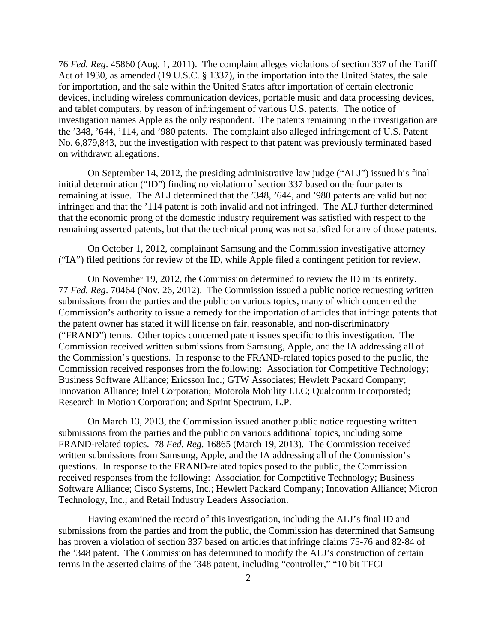76 *Fed. Reg*. 45860 (Aug. 1, 2011). The complaint alleges violations of section 337 of the Tariff Act of 1930, as amended (19 U.S.C. § 1337), in the importation into the United States, the sale for importation, and the sale within the United States after importation of certain electronic devices, including wireless communication devices, portable music and data processing devices, and tablet computers, by reason of infringement of various U.S. patents. The notice of investigation names Apple as the only respondent. The patents remaining in the investigation are the '348, '644, '114, and '980 patents. The complaint also alleged infringement of U.S. Patent No. 6,879,843, but the investigation with respect to that patent was previously terminated based on withdrawn allegations.

On September 14, 2012, the presiding administrative law judge ("ALJ") issued his final initial determination ("ID") finding no violation of section 337 based on the four patents remaining at issue. The ALJ determined that the '348, '644, and '980 patents are valid but not infringed and that the '114 patent is both invalid and not infringed. The ALJ further determined that the economic prong of the domestic industry requirement was satisfied with respect to the remaining asserted patents, but that the technical prong was not satisfied for any of those patents.

On October 1, 2012, complainant Samsung and the Commission investigative attorney ("IA") filed petitions for review of the ID, while Apple filed a contingent petition for review.

On November 19, 2012, the Commission determined to review the ID in its entirety. 77 *Fed. Reg*. 70464 (Nov. 26, 2012). The Commission issued a public notice requesting written submissions from the parties and the public on various topics, many of which concerned the Commission's authority to issue a remedy for the importation of articles that infringe patents that the patent owner has stated it will license on fair, reasonable, and non-discriminatory ("FRAND") terms. Other topics concerned patent issues specific to this investigation. The Commission received written submissions from Samsung, Apple, and the IA addressing all of the Commission's questions. In response to the FRAND-related topics posed to the public, the Commission received responses from the following: Association for Competitive Technology; Business Software Alliance; Ericsson Inc.; GTW Associates; Hewlett Packard Company; Innovation Alliance; Intel Corporation; Motorola Mobility LLC; Qualcomm Incorporated; Research In Motion Corporation; and Sprint Spectrum, L.P.

On March 13, 2013, the Commission issued another public notice requesting written submissions from the parties and the public on various additional topics, including some FRAND-related topics. 78 *Fed. Reg*. 16865 (March 19, 2013). The Commission received written submissions from Samsung, Apple, and the IA addressing all of the Commission's questions. In response to the FRAND-related topics posed to the public, the Commission received responses from the following: Association for Competitive Technology; Business Software Alliance; Cisco Systems, Inc.; Hewlett Packard Company; Innovation Alliance; Micron Technology, Inc.; and Retail Industry Leaders Association.

Having examined the record of this investigation, including the ALJ's final ID and submissions from the parties and from the public, the Commission has determined that Samsung has proven a violation of section 337 based on articles that infringe claims 75-76 and 82-84 of the '348 patent. The Commission has determined to modify the ALJ's construction of certain terms in the asserted claims of the '348 patent, including "controller," "10 bit TFCI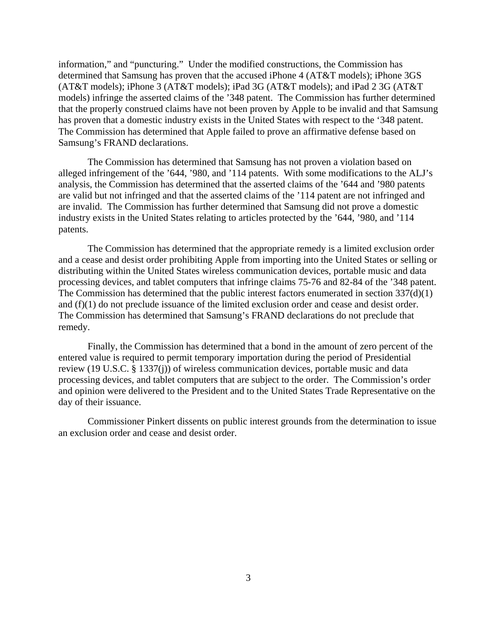information," and "puncturing." Under the modified constructions, the Commission has determined that Samsung has proven that the accused iPhone 4 (AT&T models); iPhone 3GS (AT&T models); iPhone 3 (AT&T models); iPad 3G (AT&T models); and iPad 2 3G (AT&T models) infringe the asserted claims of the '348 patent. The Commission has further determined that the properly construed claims have not been proven by Apple to be invalid and that Samsung has proven that a domestic industry exists in the United States with respect to the '348 patent. The Commission has determined that Apple failed to prove an affirmative defense based on Samsung's FRAND declarations.

The Commission has determined that Samsung has not proven a violation based on alleged infringement of the '644, '980, and '114 patents. With some modifications to the ALJ's analysis, the Commission has determined that the asserted claims of the '644 and '980 patents are valid but not infringed and that the asserted claims of the '114 patent are not infringed and are invalid. The Commission has further determined that Samsung did not prove a domestic industry exists in the United States relating to articles protected by the '644, '980, and '114 patents.

The Commission has determined that the appropriate remedy is a limited exclusion order and a cease and desist order prohibiting Apple from importing into the United States or selling or distributing within the United States wireless communication devices, portable music and data processing devices, and tablet computers that infringe claims 75-76 and 82-84 of the '348 patent. The Commission has determined that the public interest factors enumerated in section 337(d)(1) and (f)(1) do not preclude issuance of the limited exclusion order and cease and desist order. The Commission has determined that Samsung's FRAND declarations do not preclude that remedy.

Finally, the Commission has determined that a bond in the amount of zero percent of the entered value is required to permit temporary importation during the period of Presidential review (19 U.S.C. § 1337(j)) of wireless communication devices, portable music and data processing devices, and tablet computers that are subject to the order. The Commission's order and opinion were delivered to the President and to the United States Trade Representative on the day of their issuance.

Commissioner Pinkert dissents on public interest grounds from the determination to issue an exclusion order and cease and desist order.